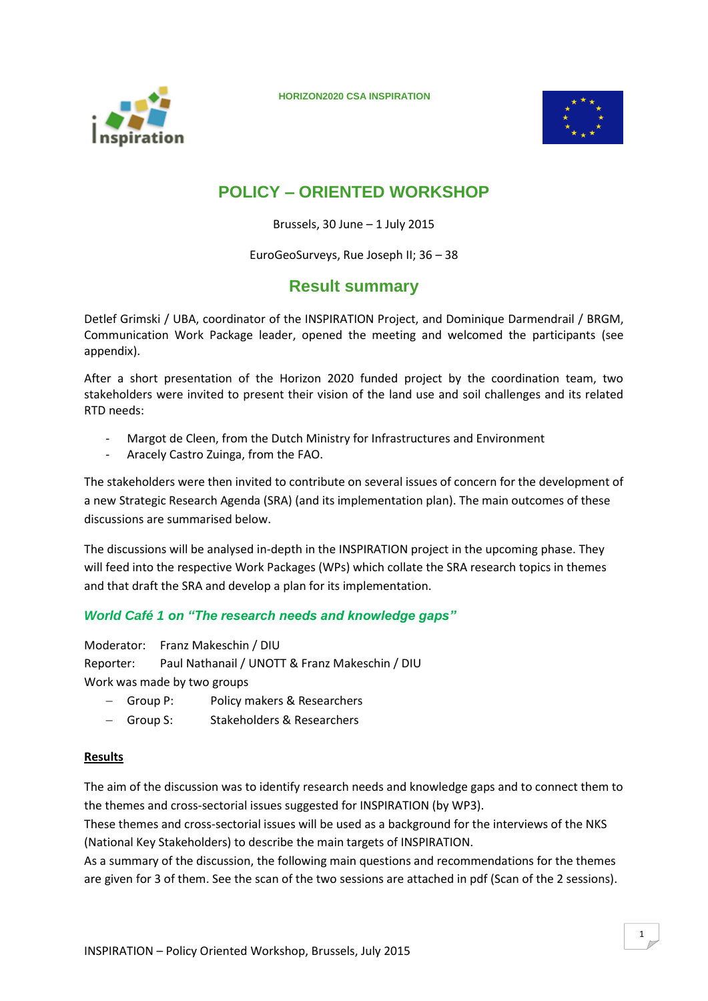



# **POLICY – ORIENTED WORKSHOP**

Brussels, 30 June – 1 July 2015

EuroGeoSurveys, Rue Joseph II; 36 – 38

## **Result summary**

Detlef Grimski / UBA, coordinator of the INSPIRATION Project, and Dominique Darmendrail / BRGM, Communication Work Package leader, opened the meeting and welcomed the participants (see appendix).

After a short presentation of the Horizon 2020 funded project by the coordination team, two stakeholders were invited to present their vision of the land use and soil challenges and its related RTD needs:

- Margot de Cleen, from the Dutch Ministry for Infrastructures and Environment
- Aracely Castro Zuinga, from the FAO.

The stakeholders were then invited to contribute on several issues of concern for the development of a new Strategic Research Agenda (SRA) (and its implementation plan). The main outcomes of these discussions are summarised below.

The discussions will be analysed in-depth in the INSPIRATION project in the upcoming phase. They will feed into the respective Work Packages (WPs) which collate the SRA research topics in themes and that draft the SRA and develop a plan for its implementation.

### *World Café 1 on "The research needs and knowledge gaps"*

Moderator: Franz Makeschin / DIU Reporter: Paul Nathanail / UNOTT & Franz Makeschin / DIU Work was made by two groups

- Group P: Policy makers & Researchers
- Group S: Stakeholders & Researchers

#### **Results**

The aim of the discussion was to identify research needs and knowledge gaps and to connect them to the themes and cross-sectorial issues suggested for INSPIRATION (by WP3).

These themes and cross-sectorial issues will be used as a background for the interviews of the NKS (National Key Stakeholders) to describe the main targets of INSPIRATION.

As a summary of the discussion, the following main questions and recommendations for the themes are given for 3 of them. See the scan of the two sessions are attached in pdf (Scan of the 2 sessions).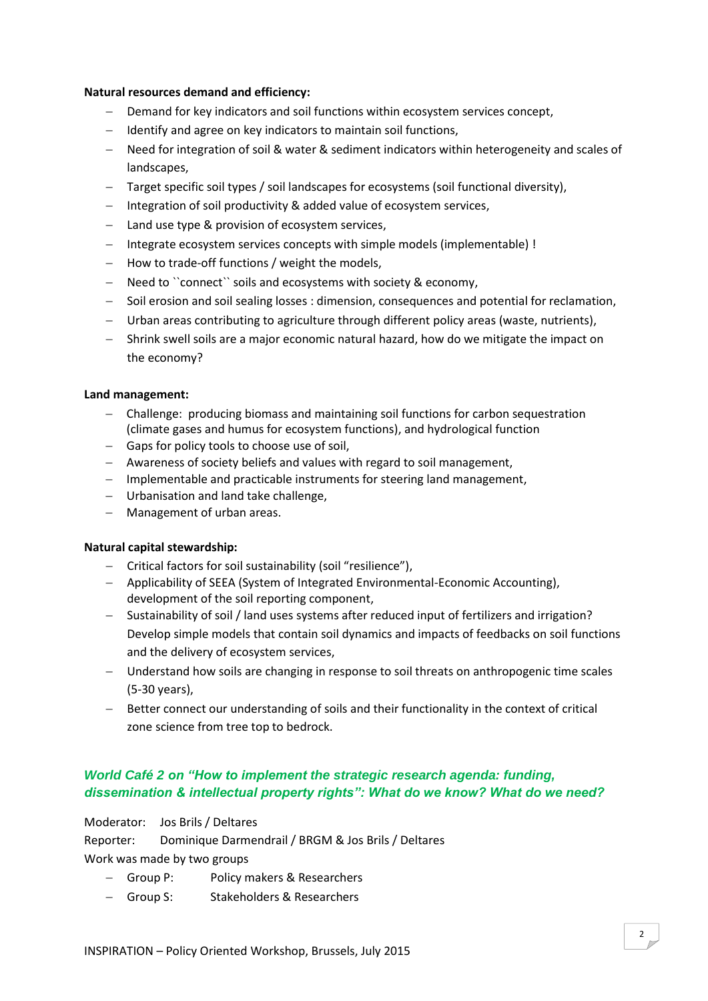#### **Natural resources demand and efficiency:**

- Demand for key indicators and soil functions within ecosystem services concept,
- $-I$  Identify and agree on key indicators to maintain soil functions,
- Need for integration of soil & water & sediment indicators within heterogeneity and scales of landscapes,
- Target specific soil types / soil landscapes for ecosystems (soil functional diversity),
- $-I$ ntegration of soil productivity & added value of ecosystem services,
- Land use type & provision of ecosystem services,
- Integrate ecosystem services concepts with simple models (implementable) !
- $-$  How to trade-off functions / weight the models,
- Need to "connect" soils and ecosystems with society & economy,
- Soil erosion and soil sealing losses : dimension, consequences and potential for reclamation,
- Urban areas contributing to agriculture through different policy areas (waste, nutrients),
- Shrink swell soils are a major economic natural hazard, how do we mitigate the impact on the economy?

#### **Land management:**

- Challenge: producing biomass and maintaining soil functions for carbon sequestration (climate gases and humus for ecosystem functions), and hydrological function
- Gaps for policy tools to choose use of soil,
- Awareness of society beliefs and values with regard to soil management,
- Implementable and practicable instruments for steering land management,
- Urbanisation and land take challenge,
- Management of urban areas.

#### **Natural capital stewardship:**

- Critical factors for soil sustainability (soil "resilience"),
- Applicability of SEEA (System of Integrated Environmental-Economic Accounting), development of the soil reporting component,
- Sustainability of soil / land uses systems after reduced input of fertilizers and irrigation? Develop simple models that contain soil dynamics and impacts of feedbacks on soil functions and the delivery of ecosystem services,
- Understand how soils are changing in response to soil threats on anthropogenic time scales (5-30 years),
- Better connect our understanding of soils and their functionality in the context of critical zone science from tree top to bedrock.

### *World Café 2 on "How to implement the strategic research agenda: funding, dissemination & intellectual property rights": What do we know? What do we need?*

Moderator: Jos Brils / Deltares

Reporter: Dominique Darmendrail / BRGM & Jos Brils / Deltares Work was made by two groups

- Group P: Policy makers & Researchers
- Group S: Stakeholders & Researchers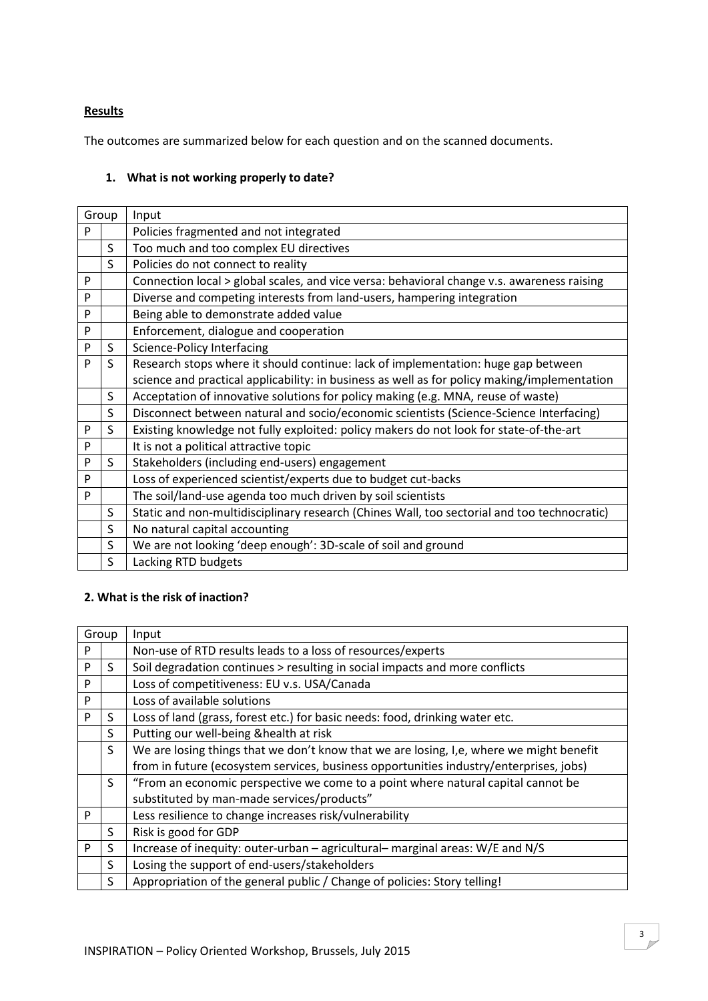#### **Results**

The outcomes are summarized below for each question and on the scanned documents.

#### **1. What is not working properly to date?**

| Group |    | Input                                                                                        |
|-------|----|----------------------------------------------------------------------------------------------|
| P     |    | Policies fragmented and not integrated                                                       |
|       | S  | Too much and too complex EU directives                                                       |
|       | S  | Policies do not connect to reality                                                           |
| P     |    | Connection local > global scales, and vice versa: behavioral change v.s. awareness raising   |
| P     |    | Diverse and competing interests from land-users, hampering integration                       |
| P     |    | Being able to demonstrate added value                                                        |
| P     |    | Enforcement, dialogue and cooperation                                                        |
| P     | S  | Science-Policy Interfacing                                                                   |
| P     | S  | Research stops where it should continue: lack of implementation: huge gap between            |
|       |    | science and practical applicability: in business as well as for policy making/implementation |
|       | S  | Acceptation of innovative solutions for policy making (e.g. MNA, reuse of waste)             |
|       | S  | Disconnect between natural and socio/economic scientists (Science-Science Interfacing)       |
| P     | S  | Existing knowledge not fully exploited: policy makers do not look for state-of-the-art       |
| P     |    | It is not a political attractive topic                                                       |
| P     | S. | Stakeholders (including end-users) engagement                                                |
| P     |    | Loss of experienced scientist/experts due to budget cut-backs                                |
| P     |    | The soil/land-use agenda too much driven by soil scientists                                  |
|       | S  | Static and non-multidisciplinary research (Chines Wall, too sectorial and too technocratic)  |
|       | S  | No natural capital accounting                                                                |
|       | S  | We are not looking 'deep enough': 3D-scale of soil and ground                                |
|       | S  | Lacking RTD budgets                                                                          |

## **2. What is the risk of inaction?**

| Group     |    | Input                                                                                   |  |
|-----------|----|-----------------------------------------------------------------------------------------|--|
| P         |    | Non-use of RTD results leads to a loss of resources/experts                             |  |
| P         | S  | Soil degradation continues > resulting in social impacts and more conflicts             |  |
| P         |    | Loss of competitiveness: EU v.s. USA/Canada                                             |  |
| ${\sf P}$ |    | Loss of available solutions                                                             |  |
| P         | S  | Loss of land (grass, forest etc.) for basic needs: food, drinking water etc.            |  |
|           | S  | Putting our well-being & health at risk                                                 |  |
|           | S  | We are losing things that we don't know that we are losing, I,e, where we might benefit |  |
|           |    | from in future (ecosystem services, business opportunities industry/enterprises, jobs)  |  |
|           | S. | "From an economic perspective we come to a point where natural capital cannot be        |  |
|           |    | substituted by man-made services/products"                                              |  |
| P         |    | Less resilience to change increases risk/vulnerability                                  |  |
|           | S  | Risk is good for GDP                                                                    |  |
| P         | S  | Increase of inequity: outer-urban - agricultural- marginal areas: W/E and N/S           |  |
|           | S  | Losing the support of end-users/stakeholders                                            |  |
|           | S  | Appropriation of the general public / Change of policies: Story telling!                |  |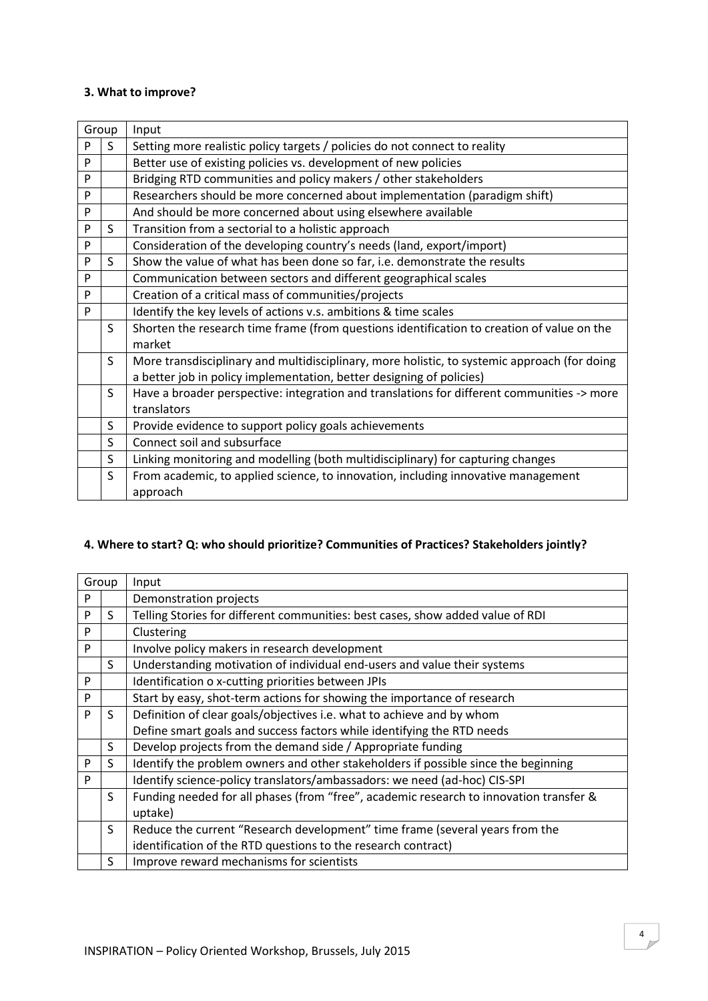#### **3. What to improve?**

| Group |    | Input                                                                                        |  |
|-------|----|----------------------------------------------------------------------------------------------|--|
| P     | S  | Setting more realistic policy targets / policies do not connect to reality                   |  |
| P     |    | Better use of existing policies vs. development of new policies                              |  |
| P     |    | Bridging RTD communities and policy makers / other stakeholders                              |  |
| P     |    | Researchers should be more concerned about implementation (paradigm shift)                   |  |
| P     |    | And should be more concerned about using elsewhere available                                 |  |
| P     | S. | Transition from a sectorial to a holistic approach                                           |  |
| P     |    | Consideration of the developing country's needs (land, export/import)                        |  |
| P     | S  | Show the value of what has been done so far, i.e. demonstrate the results                    |  |
| P     |    | Communication between sectors and different geographical scales                              |  |
| P     |    | Creation of a critical mass of communities/projects                                          |  |
| P     |    | Identify the key levels of actions v.s. ambitions & time scales                              |  |
|       | S  | Shorten the research time frame (from questions identification to creation of value on the   |  |
|       |    | market                                                                                       |  |
|       | S. | More transdisciplinary and multidisciplinary, more holistic, to systemic approach (for doing |  |
|       |    | a better job in policy implementation, better designing of policies)                         |  |
|       | S  | Have a broader perspective: integration and translations for different communities -> more   |  |
|       |    | translators                                                                                  |  |
|       | S  | Provide evidence to support policy goals achievements                                        |  |
|       | S  | Connect soil and subsurface                                                                  |  |
|       | S  | Linking monitoring and modelling (both multidisciplinary) for capturing changes              |  |
|       | S  | From academic, to applied science, to innovation, including innovative management            |  |
|       |    | approach                                                                                     |  |

## **4. Where to start? Q: who should prioritize? Communities of Practices? Stakeholders jointly?**

| Group |    | Input                                                                                  |
|-------|----|----------------------------------------------------------------------------------------|
| P     |    | Demonstration projects                                                                 |
| P     | S. | Telling Stories for different communities: best cases, show added value of RDI         |
| P     |    | Clustering                                                                             |
| P     |    | Involve policy makers in research development                                          |
|       | S  | Understanding motivation of individual end-users and value their systems               |
| P     |    | Identification o x-cutting priorities between JPIs                                     |
| P     |    | Start by easy, shot-term actions for showing the importance of research                |
| P     | S  | Definition of clear goals/objectives i.e. what to achieve and by whom                  |
|       |    | Define smart goals and success factors while identifying the RTD needs                 |
|       | S  | Develop projects from the demand side / Appropriate funding                            |
| P     | S  | Identify the problem owners and other stakeholders if possible since the beginning     |
| P     |    | Identify science-policy translators/ambassadors: we need (ad-hoc) CIS-SPI              |
|       | S  | Funding needed for all phases (from "free", academic research to innovation transfer & |
|       |    | uptake)                                                                                |
|       | S  | Reduce the current "Research development" time frame (several years from the           |
|       |    | identification of the RTD questions to the research contract)                          |
|       | S  | Improve reward mechanisms for scientists                                               |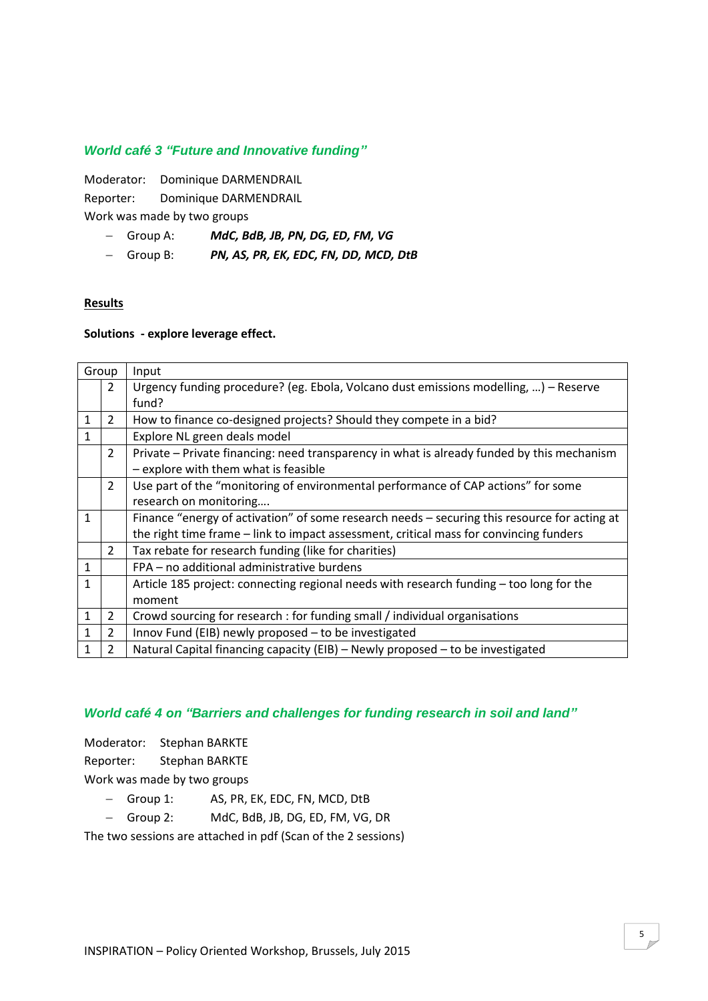#### *World café 3 "Future and Innovative funding"*

Moderator: Dominique DARMENDRAIL Reporter: Dominique DARMENDRAIL Work was made by two groups

- Group A: *MdC, BdB, JB, PN, DG, ED, FM, VG*
- Group B: *PN, AS, PR, EK, EDC, FN, DD, MCD, DtB*

#### **Results**

#### **Solutions - explore leverage effect.**

| Group        |                | Input                                                                                        |  |  |
|--------------|----------------|----------------------------------------------------------------------------------------------|--|--|
|              | $\overline{2}$ | Urgency funding procedure? (eg. Ebola, Volcano dust emissions modelling, ) - Reserve         |  |  |
|              |                | fund?                                                                                        |  |  |
| 1            | $\overline{2}$ | How to finance co-designed projects? Should they compete in a bid?                           |  |  |
| 1            |                | Explore NL green deals model                                                                 |  |  |
|              | $\overline{2}$ | Private – Private financing: need transparency in what is already funded by this mechanism   |  |  |
|              |                | - explore with them what is feasible                                                         |  |  |
|              | $\overline{2}$ | Use part of the "monitoring of environmental performance of CAP actions" for some            |  |  |
|              |                | research on monitoring                                                                       |  |  |
| 1            |                | Finance "energy of activation" of some research needs - securing this resource for acting at |  |  |
|              |                | the right time frame - link to impact assessment, critical mass for convincing funders       |  |  |
|              | $\overline{2}$ | Tax rebate for research funding (like for charities)                                         |  |  |
| $\mathbf{1}$ |                | FPA - no additional administrative burdens                                                   |  |  |
| $\mathbf{1}$ |                | Article 185 project: connecting regional needs with research funding - too long for the      |  |  |
|              |                | moment                                                                                       |  |  |
| 1            | $\overline{2}$ | Crowd sourcing for research : for funding small / individual organisations                   |  |  |
| 1            | $\overline{2}$ | Innov Fund (EIB) newly proposed - to be investigated                                         |  |  |
| $\mathbf{1}$ | 2              | Natural Capital financing capacity (EIB) - Newly proposed - to be investigated               |  |  |

#### *World café 4 on "Barriers and challenges for funding research in soil and land"*

Moderator: Stephan BARKTE

Reporter: Stephan BARKTE

Work was made by two groups

- Group 1: AS, PR, EK, EDC, FN, MCD, DtB
- Group 2: MdC, BdB, JB, DG, ED, FM, VG, DR

The two sessions are attached in pdf (Scan of the 2 sessions)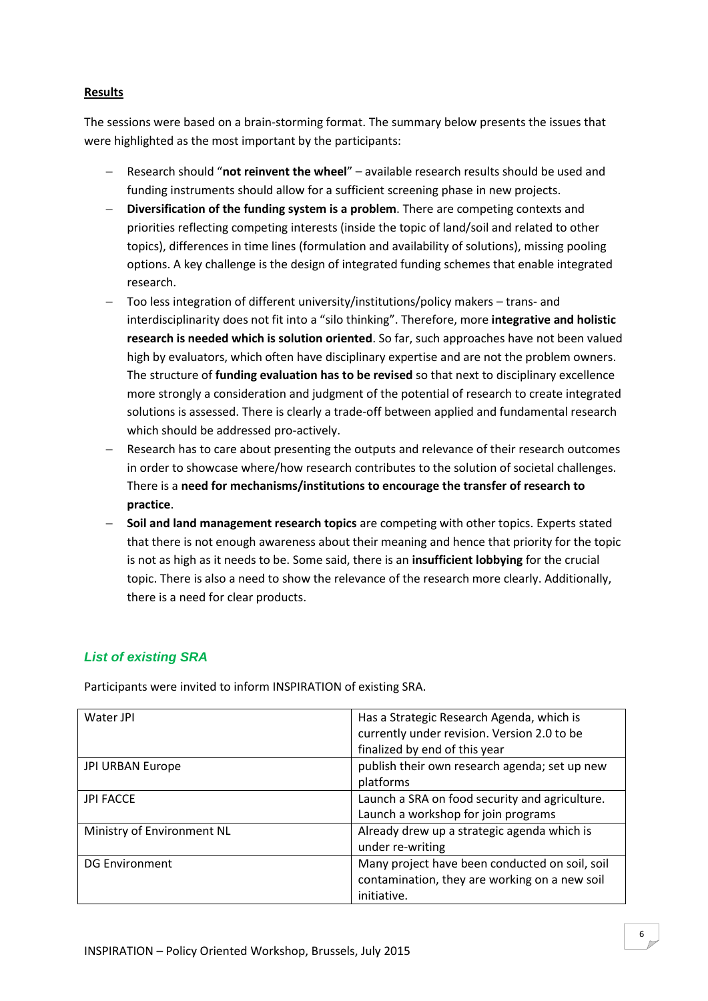#### **Results**

The sessions were based on a brain-storming format. The summary below presents the issues that were highlighted as the most important by the participants:

- Research should "**not reinvent the wheel**" available research results should be used and funding instruments should allow for a sufficient screening phase in new projects.
- **Diversification of the funding system is a problem**. There are competing contexts and priorities reflecting competing interests (inside the topic of land/soil and related to other topics), differences in time lines (formulation and availability of solutions), missing pooling options. A key challenge is the design of integrated funding schemes that enable integrated research.
- Too less integration of different university/institutions/policy makers trans- and interdisciplinarity does not fit into a "silo thinking". Therefore, more **integrative and holistic research is needed which is solution oriented**. So far, such approaches have not been valued high by evaluators, which often have disciplinary expertise and are not the problem owners. The structure of **funding evaluation has to be revised** so that next to disciplinary excellence more strongly a consideration and judgment of the potential of research to create integrated solutions is assessed. There is clearly a trade-off between applied and fundamental research which should be addressed pro-actively.
- Research has to care about presenting the outputs and relevance of their research outcomes in order to showcase where/how research contributes to the solution of societal challenges. There is a **need for mechanisms/institutions to encourage the transfer of research to practice**.
- **Soil and land management research topics** are competing with other topics. Experts stated that there is not enough awareness about their meaning and hence that priority for the topic is not as high as it needs to be. Some said, there is an **insufficient lobbying** for the crucial topic. There is also a need to show the relevance of the research more clearly. Additionally, there is a need for clear products.

#### *List of existing SRA*

| Water JPI                  | Has a Strategic Research Agenda, which is<br>currently under revision. Version 2.0 to be |
|----------------------------|------------------------------------------------------------------------------------------|
|                            | finalized by end of this year                                                            |
| <b>JPI URBAN Europe</b>    | publish their own research agenda; set up new                                            |
|                            | platforms                                                                                |
| <b>JPI FACCE</b>           | Launch a SRA on food security and agriculture.                                           |
|                            | Launch a workshop for join programs                                                      |
| Ministry of Environment NL | Already drew up a strategic agenda which is                                              |
|                            | under re-writing                                                                         |
| <b>DG Environment</b>      | Many project have been conducted on soil, soil                                           |
|                            | contamination, they are working on a new soil                                            |
|                            | initiative.                                                                              |

Participants were invited to inform INSPIRATION of existing SRA.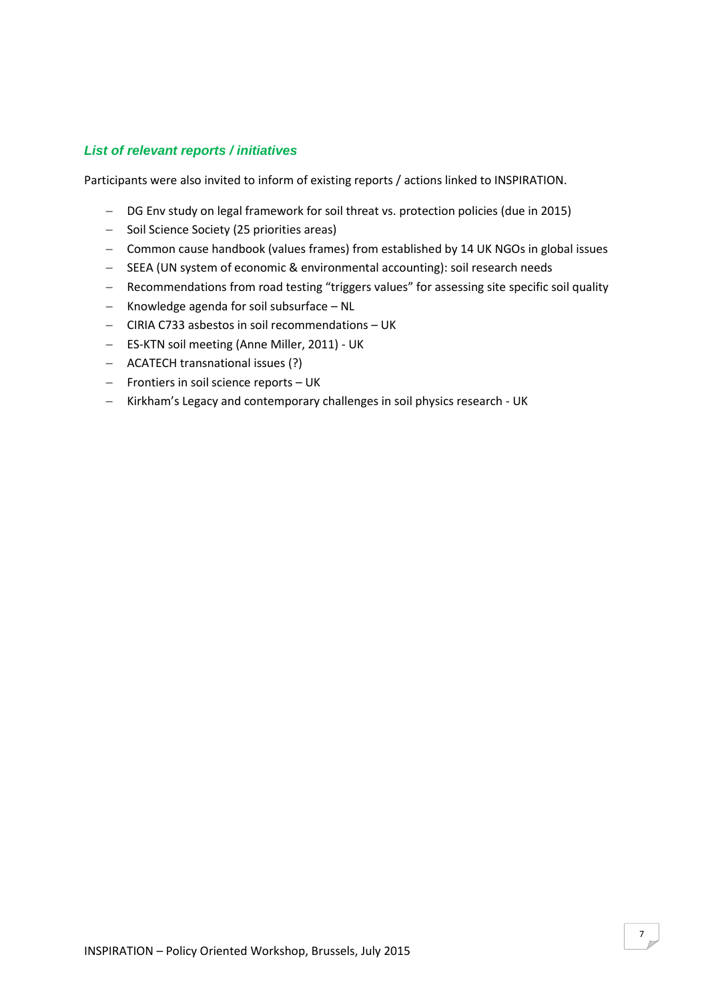#### *List of relevant reports / initiatives*

Participants were also invited to inform of existing reports / actions linked to INSPIRATION.

- DG Env study on legal framework for soil threat vs. protection policies (due in 2015)
- Soil Science Society (25 priorities areas)
- Common cause handbook (values frames) from established by 14 UK NGOs in global issues
- SEEA (UN system of economic & environmental accounting): soil research needs
- Recommendations from road testing "triggers values" for assessing site specific soil quality
- $-$  Knowledge agenda for soil subsurface  $-$  NL
- CIRIA C733 asbestos in soil recommendations UK
- ES-KTN soil meeting (Anne Miller, 2011) UK
- ACATECH transnational issues (?)
- Frontiers in soil science reports UK
- Kirkham's Legacy and contemporary challenges in soil physics research UK